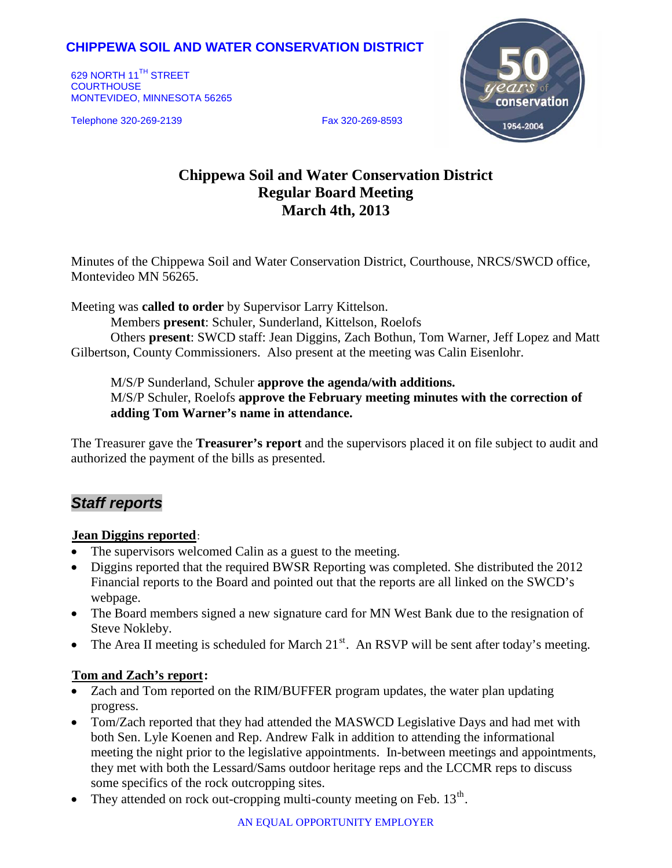## **CHIPPEWA SOIL AND WATER CONSERVATION DISTRICT**

629 NORTH 11<sup>TH</sup> STREET **COURTHOUSE** MONTEVIDEO, MINNESOTA 56265

Telephone 320-269-2139 Fax 320-269-8593



# **Chippewa Soil and Water Conservation District Regular Board Meeting March 4th, 2013**

Minutes of the Chippewa Soil and Water Conservation District, Courthouse, NRCS/SWCD office, Montevideo MN 56265.

Meeting was **called to order** by Supervisor Larry Kittelson.

Members **present**: Schuler, Sunderland, Kittelson, Roelofs

Others **present**: SWCD staff: Jean Diggins, Zach Bothun, Tom Warner, Jeff Lopez and Matt Gilbertson, County Commissioners. Also present at the meeting was Calin Eisenlohr.

M/S/P Sunderland, Schuler **approve the agenda/with additions.** M/S/P Schuler, Roelofs **approve the February meeting minutes with the correction of adding Tom Warner's name in attendance.**

The Treasurer gave the **Treasurer's report** and the supervisors placed it on file subject to audit and authorized the payment of the bills as presented.

# *Staff reports*

#### **Jean Diggins reported:**

- The supervisors welcomed Calin as a guest to the meeting.
- Diggins reported that the required BWSR Reporting was completed. She distributed the 2012 Financial reports to the Board and pointed out that the reports are all linked on the SWCD's webpage.
- The Board members signed a new signature card for MN West Bank due to the resignation of Steve Nokleby.
- The Area II meeting is scheduled for March  $21<sup>st</sup>$ . An RSVP will be sent after today's meeting.

#### **Tom and Zach's report:**

- Zach and Tom reported on the RIM/BUFFER program updates, the water plan updating progress.
- Tom/Zach reported that they had attended the MASWCD Legislative Days and had met with both Sen. Lyle Koenen and Rep. Andrew Falk in addition to attending the informational meeting the night prior to the legislative appointments. In-between meetings and appointments, they met with both the Lessard/Sams outdoor heritage reps and the LCCMR reps to discuss some specifics of the rock outcropping sites.
- They attended on rock out-cropping multi-county meeting on Feb.  $13<sup>th</sup>$ .